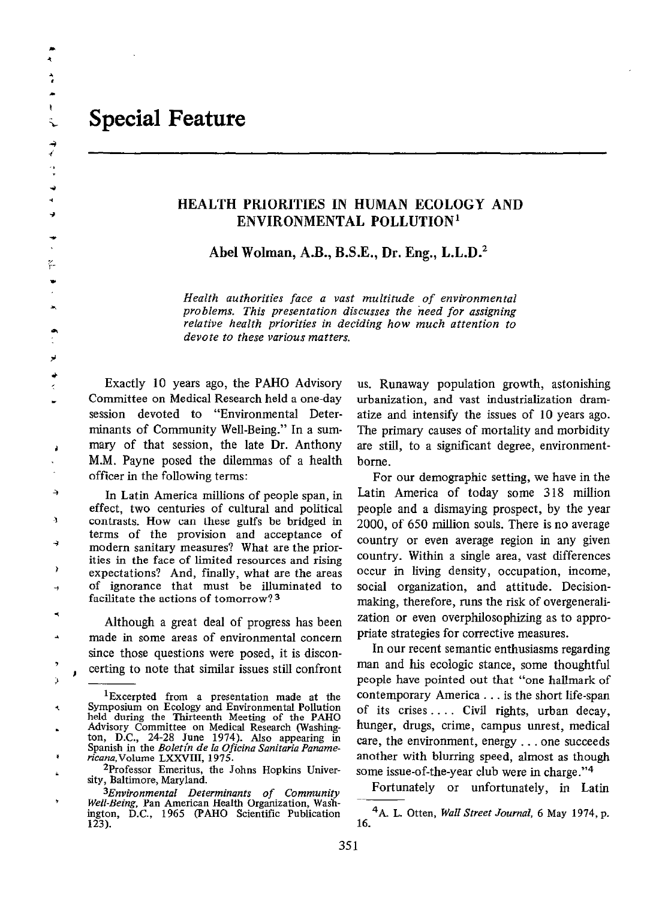$\ddot{\cdot}$ Ř ×  $\mathbf{t}$ Ŝ.

> $\overrightarrow{ }$  $\ddot{\cdot}$  $\rightarrow$ à,

ŗ.

لر

 $\lambda$ 

## HEALTH PRIORITIES IN HUMAN ECOLOGY AND ENVIRONMENTAL POLLUTION'

Abel Wolman, A.B., B.S.E., Dr. Eng., L.L.D.<sup>2</sup>

Health authorities face a vast multitude of environmental problems. This presentation discusses the need for assigning relative health priorities in deciding how much attention to devote to these various matters.

Exactly 10 years ago, the PAHO Advisory Committee on Medical Research held a one-day session devoted to "Environmental Determinants of Community Well-Being." In a summary of that session, the late Dr. Anthony M.M. Payne posed the dilemmas of a health officer in the following terms:

 $\rightarrow$ In Latin America millions of people span, in effect, two centuries of cultural and political Ą contrasts. How can these gulfs be bridged in terms of the provision and acceptance of modern sanitary measures? What are the priorities in the face of limited resources and rising expectations? And, finally, what are the areas of ignorance that must be illuminated to facilitate the actions of tomorrow? 3

Although a great deal of progress has been made in some areas of environmental concern since those questions were posed, it is disconcerting to note that similar issues still confront

us. Runaway population growth, astonishing urbanization, and vast industrialization dramatize and intensify the issues of 10 years ago. The primary causes of mortality and morbidity are still, to a significant degree, environmentborne.

For our demographic setting, we have in the Latin America of today some 318 million people and a dismaying prospect, by the year 2000, of 650 million souls. There is no average country or even average region in any given country. Within a single area, vast differences occur in living density, occupation, income, social organization, and attitude. Decisionmaking, therefore, runs the risk of overgeneralization or even overphilosophizing as to appropriate strategies for corrective measures.

In our recent semantic enthusiasms regarding man and his ecologic stance, some thoughtful people have pointed out that "one hallmark of contemporary America . . . is the short life-span of its crises.. . . Civil rights, urban decay, hunger, drugs, crime, campus unrest, medical care, the environment, energy . . . one succeeds another with blurring speed, almost as though some issue-of-the-year club were in charge."4

Fortunately or unfortunately, in Latin

<sup>4</sup>A. L. Otten, *Wall Street Journal*, 6 May 1974, p. 16.

<sup>&#</sup>x27;Excerpted from a presentation made at the Symposium on Ecology and Environmental Pollution held during the Thirteenth Meeting of the PAHO Advisory Committee on Medical Research (washington, D.C., 24-28 June 1974). Also appearing in<br>Spanish in the *Boletin de la Oficina Sanitaria Paname*ricana,Volume LXXVIII, 1975.

<sup>2</sup>Professor Emeritus, the Johns Hopkins University, Baltimore, Maryland.

<sup>3</sup>Environmental Determinants of Community Well-Being, Pan American Health Organization, Washington, D.C., 1965 (PAHO Scientific Publication  $123$ .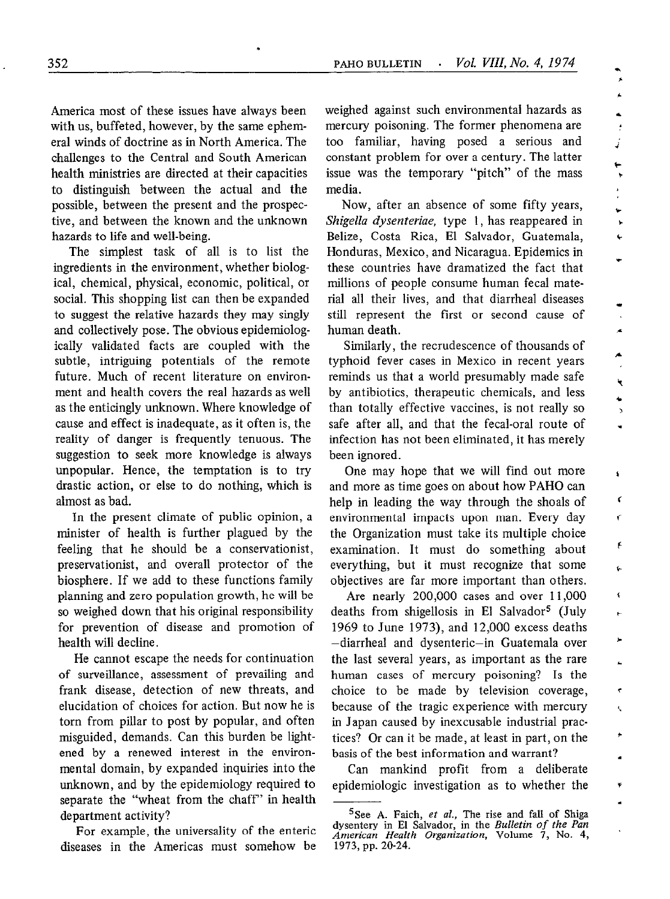j. À. á.  $\frac{1}{2}$ j

 $\ddot{ }$ 

¥

÷

×

 $\ddot{\phantom{0}}$ k

ä,

ś ¢ ¢

F í.

¢

¢

America most of these issues have always been with us, buffeted, however, by the same ephemeral winds of doctrine as in North America. The challenges to the Central and South American health ministries are directed at their capacities to distinguish between the actual and the possible, between the present and the prospective, and between the known and the unknown hazards to life and well-being.

.

The simplest task of all is to list the ingredients in the environment, whether biological, chemical, physical, economic, political, or social. This shopping list can then be expanded to suggest the relative hazards they may singly and collectively pose. The obvious epidemiologically validated facts are coupled with the subtle, intriguing potentials of the remote future. Much of recent literature on environment and health covers the real hazards as well as the enticingly unknown. Where knowledge of cause and effect is inadequate, as it often is, the reality of danger is frequently tenuous. The suggestion to seek more knowledge is always unpopular. Hence, the temptation is to try drastic action, or else to do nothing, which is almost as bad.

In the present climate of public opinion, a minister of health is further plagued by the feeling that he should be a conservationist, preservationist, and overall protector of the biosphere. If we add to these functions family planning and zero population growth, he will be so weighed down that his original responsibility for prevention of disease and promotion of health will decline.

He cannot escape the needs for continuation of surveillance, assessment of prevailing and frank disease, detection of new threats, and elucidation of choices for action. But now he is torn from pillar to post by popular, and often misguided, demands. Can this burden be lightened by a renewed interest in the environmental domain, by expanded inquiries into the unknown, and by the epidemiology required to separate the "wheat from the chaff" in health department activity?

For example, the universality of the enteric diseases in the Americas must somehow be weighed against such environmental hazards as mercury poisoning. The former phenomena are too familiar, having posed a serious and constant problem for over a century. The latter issue was the temporary "pitch" of the mass media.

Now, after an absence of some fifty years, Shigella dysenteriae, type 1, has reappeared in Belize, Costa Rica, El Salvador, Guatemala, Honduras, Mexico, and Nicaragua. Epidemics in these countries have dramatized the fact that millions of people consume human fecal material all their lives, and that diarrhea1 diseases still represent the first or second cause of human death.

Similarly, the recrudescence of thousands of typhoid fever cases in Mexico in recent years reminds us that a world presumably made safe by antibiotics, therapeutic chemicals, and less than totally effective vaccines, is not really so safe after all, and that the fecal-oral route of infection has not been eliminated, it has merely been ignored.

One may hope that we will find out more and more as time goes on about how PAHO can help in leading the way through the shoals of environmental impacts upon man. Every day the Organization must take its multiple choice examination. It must do something about everything, but it must recognize that some objectives are far more important than others.

Are nearly 200,000 cases and over 11,000 deaths from shigellosis in El Salvador5 (July 1969 to June 1973), and 12,000 excess deaths -diarrhea1 and dysenteric-in Guatemala over the last several years, as important as the rare human cases of mercury poisoning? Is the choice to be made by television coverage, because of the tragic experience with mercury in Japan caused by inexcusable industrial practices? Or can it be made, at least in part, on the basis of the best information and warrant?

Can mankind profit from a deliberate epidemiologic investigation as to whether the

<sup>&</sup>lt;sup>5</sup>See A. Faich, *et al.*, The rise and fall of Shiga dysentery in El Salvador, in the *Bulletin of the Pan* American Health Organization, Volume 7, No. 4, 1973, pp. 20-24.